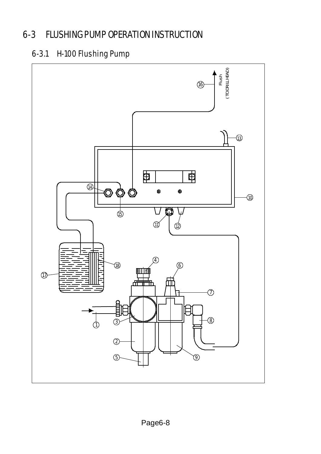# 6-3 FLUSHING PUMP OPERATION INSTRUCTION

# 6-3.1 H-100 Flushing Pump

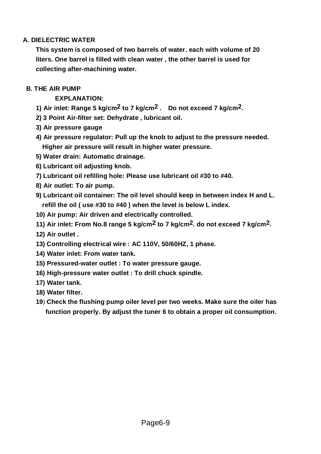#### **A. DIELECTRIC WATER**

**This system is composed of two barrels of water. each with volume of 20 liters. One barrel is filled with clean water , the other barrel is used for collecting after-machining water.**

#### **B. THE AIR PUMP**

 **EXPLANATION:**

- **1) Air inlet: Range 5 kg/cm2 to 7 kg/cm2 . Do not exceed 7 kg/cm2.**
- **2) 3 Point Air-filter set: Dehydrate , lubricant oil.**
- **3) Air pressure gauge**
- **4) Air pressure regulator: Pull up the knob to adjust to the pressure needed. Higher air pressure will result in higher water pressure.**
- **5) Water drain: Automatic drainage.**
- **6) Lubricant oil adjusting knob.**
- **7) Lubricant oil refilling hole: Please use lubricant oil #30 to #40.**
- **8) Air outlet: To air pump.**
- **9) Lubricant oil container: The oil level should keep in between index H and L. refill the oil ( use #30 to #40 ) when the level is below L index.**
- **10) Air pump: Air driven and electrically controlled.**
- **11) Air inlet: From No.8 range 5 kg/cm2 to 7 kg/cm2. do not exceed 7 kg/cm2.**
- **12) Air outlet .**
- **13) Controlling electrical wire : AC 110V, 50/60HZ, 1 phase.**
- **14) Water inlet: From water tank.**
- **15) Pressured-water outlet : To water pressure gauge.**
- **16) High-pressure water outlet : To drill chuck spindle.**
- **17) Water tank.**
- **18) Water filter.**
- **19**) **Check the flushing pump oiler level per two weeks. Make sure the oiler has function properly. By adjust the tuner 6 to obtain a proper oil consumption.**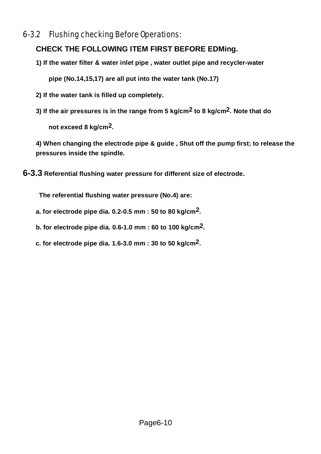## 6-3.2 Flushing checking Before Operations:

## **CHECK THE FOLLOWING ITEM FIRST BEFORE EDMing.**

**1) If the water filter & water inlet pipe , water outlet pipe and recycler-water**

 **pipe (No.14,15,17) are all put into the water tank (No.17)**

- **2) If the water tank is filled up completely.**
- **3) If the air pressures is in the range from 5 kg/cm2 to 8 kg/cm2. Note that do not exceed 8 kg/cm2.**

**4) When changing the electrode pipe & guide , Shut off the pump first; to release the pressures inside the spindle.**

**6-3.3 Referential flushing water pressure for different size of electrode.**

**The referential flushing water pressure (No.4) are:**

- **a. for electrode pipe dia. 0.2-0.5 mm : 50 to 80 kg/cm2.**
- **b. for electrode pipe dia. 0.6-1.0 mm : 60 to 100 kg/cm2.**
- **c. for electrode pipe dia. 1.6-3.0 mm : 30 to 50 kg/cm2.**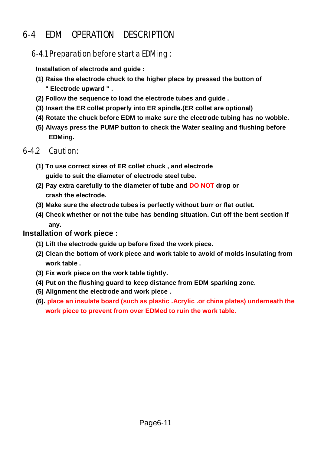# 6-4 EDM OPERATION DESCRIPTION

## 6-4.1 Preparation before start a EDMing :

**Installation of electrode and guide :**

- **(1) Raise the electrode chuck to the higher place by pressed the button of " Electrode upward " .**
- **(2) Follow the sequence to load the electrode tubes and guide .**
- **(3) Insert the ER collet properly into ER spindle.(ER collet are optional)**
- **(4) Rotate the chuck before EDM to make sure the electrode tubing has no wobble.**
- **(5) Always press the PUMP button to check the Water sealing and flushing before EDMing.**

#### 6-4.2 Caution:

- **(1) To use correct sizes of ER collet chuck , and electrode guide to suit the diameter of electrode steel tube.**
- **(2) Pay extra carefully to the diameter of tube and DO NOT drop or crash the electrode.**
- **(3) Make sure the electrode tubes is perfectly without burr or flat outlet.**
- **(4) Check whether or not the tube has bending situation. Cut off the bent section if any.**

#### **Installation of work piece :**

- **(1) Lift the electrode guide up before fixed the work piece.**
- **(2) Clean the bottom of work piece and work table to avoid of molds insulating from work table .**
- **(3) Fix work piece on the work table tightly.**
- **(4) Put on the flushing guard to keep distance from EDM sparking zone.**
- **(5) Alignment the electrode and work piece .**
- **(6). place an insulate board (such as plastic .Acrylic .or china plates) underneath the work piece to prevent from over EDMed to ruin the work table.**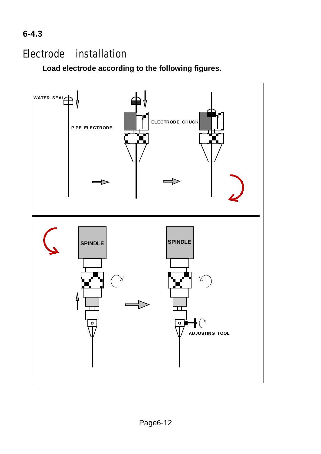# **6-4.3**

# Electrode installation

**Load electrode according to the following figures.**

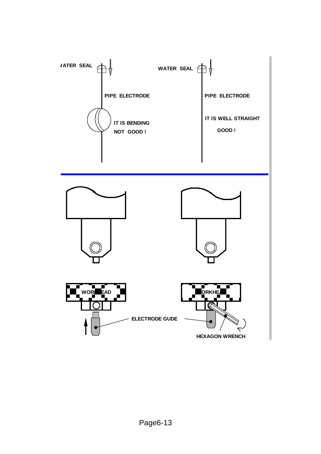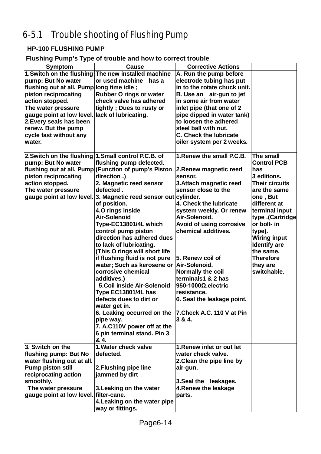# 6-5.1 Trouble shooting of Flushing Pump

#### **HP-100 FLUSHING PUMP**

**Flushing Pump's Type of trouble and how to correct trouble** 

| <b>Symptom</b>                                 | <b>Cause</b>                                          | <b>Corrective Actions</b>     |                       |
|------------------------------------------------|-------------------------------------------------------|-------------------------------|-----------------------|
|                                                | 1. Switch on the flushing The new installed machine   | A. Run the pump before        |                       |
| pump: But No water                             | or used machine<br>has a                              | electrode tubing has put      |                       |
| flushing out at all. Pump long time idle;      |                                                       | in to the rotate chuck unit.  |                       |
| piston reciprocating                           | <b>Rubber O rings or water</b>                        | B. Use an air-gun to jet      |                       |
| action stopped.                                | check valve has adhered                               | in some air from water        |                       |
| The water pressure                             | tightly; Dues to rusty or                             | inlet pipe (that one of 2     |                       |
| gauge point at low level. lack of lubricating. |                                                       | pipe dipped in water tank)    |                       |
| 2. Every seals has been                        |                                                       | to loosen the adhered         |                       |
| renew. But the pump                            |                                                       | steel ball with nut.          |                       |
| cycle fast without any                         |                                                       | <b>C. Check the lubricate</b> |                       |
| water.                                         |                                                       | oiler system per 2 weeks.     |                       |
|                                                |                                                       |                               |                       |
|                                                | 2. Switch on the flushing 1. Small control P.C.B. of  | 1. Renew the small P.C.B.     | The small             |
| pump: But No water                             | flushing pump defected.                               |                               | <b>Control PCB</b>    |
|                                                | flushing out at all. Pump (Function of pump's Piston  | 2. Renew magnetic reed        | has                   |
| piston reciprocating                           | direction .)                                          | sensor.                       | 3 editions.           |
| action stopped.                                | 2. Magnetic reed sensor                               | 3. Attach magnetic reed       | <b>Their circuits</b> |
| The water pressure                             | defected.                                             | sensor close to the           | are the same          |
| gauge point at low level.                      | 3. Magnetic reed sensor out cylinder.                 |                               | one, But              |
|                                                | of position.                                          | 4. Check the lubricate        | different at          |
|                                                | 4.0 rings inside                                      | system weekly. Or renew       | terminal input        |
|                                                | Air-Solenoid                                          | Air-Solenoid.                 | type .(Cartridge      |
|                                                | Type-EC13801/4L which                                 | Avoid of using corrosive      | or bolt- in           |
|                                                | control pump piston                                   | chemical additives.           | type).                |
|                                                | direction has adhered dues                            |                               | <b>Wiring input</b>   |
|                                                | to lack of lubricating.                               |                               | <b>Identify</b> are   |
|                                                | (This O rings will short life                         |                               | the same.             |
|                                                | if flushing fluid is not pure                         | 5. Renew coil of              | <b>Therefore</b>      |
|                                                | water; Such as kerosene or                            | Air-Solenoid.                 | they are              |
|                                                | corrosive chemical                                    | Normally the coil             | switchable.           |
|                                                | additives.)                                           | terminals1 & 2 has            |                       |
|                                                | 5. Coil inside Air-Solenoid                           | 950-1000Ω.electric            |                       |
|                                                | Type EC13801/4L has                                   | resistance.                   |                       |
|                                                | defects dues to dirt or                               | 6. Seal the leakage point.    |                       |
|                                                | water get in.                                         |                               |                       |
|                                                | 6. Leaking occurred on the 7. Check A.C. 110 V at Pin |                               |                       |
|                                                | pipe way.                                             | 3 & 4.                        |                       |
|                                                | 7. A.C110V power off at the                           |                               |                       |
|                                                | 6 pin terminal stand. Pin 3                           |                               |                       |
|                                                | & 4.                                                  |                               |                       |
| 3. Switch on the                               | 1. Water check valve                                  | 1. Renew inlet or out let     |                       |
| flushing pump: But No                          | defected.                                             | water check valve.            |                       |
| water flushing out at all.                     |                                                       | 2. Clean the pipe line by     |                       |
| <b>Pump piston still</b>                       | 2. Flushing pipe line                                 | air-gun.                      |                       |
| reciprocating action                           | jammed by dirt                                        |                               |                       |
| smoothly.                                      |                                                       | 3. Seal the leakages.         |                       |
| The water pressure                             | 3. Leaking on the water                               | 4. Renew the leakage          |                       |
| gauge point at low level. filter-cane.         |                                                       | parts.                        |                       |
|                                                | 4. Leaking on the water pipe                          |                               |                       |
|                                                | way or fittings.                                      |                               |                       |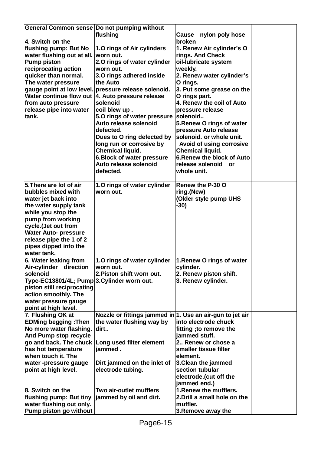| 4. Switch on the<br>flushing pump: But No<br>water flushing out at all.                                                                                                                                                                                           | General Common sense Do not pumping without<br>flushing<br>1.0 rings of Air cylinders<br>worn out.                                                                                                                                                                                                                            | Cause nylon poly hose<br>broken<br>1. Renew Air cylinder's O<br>rings. And Check                                                                                                                                                                                                                                                        |  |
|-------------------------------------------------------------------------------------------------------------------------------------------------------------------------------------------------------------------------------------------------------------------|-------------------------------------------------------------------------------------------------------------------------------------------------------------------------------------------------------------------------------------------------------------------------------------------------------------------------------|-----------------------------------------------------------------------------------------------------------------------------------------------------------------------------------------------------------------------------------------------------------------------------------------------------------------------------------------|--|
| <b>Pump piston</b><br>reciprocating action<br>quicker than normal.                                                                                                                                                                                                | 2.0 rings of water cylinder<br>worn out.<br>3.O rings adhered inside                                                                                                                                                                                                                                                          | oil-lubricate system<br>weekly.<br>2. Renew water cylinder's                                                                                                                                                                                                                                                                            |  |
| The water pressure<br>gauge point at low level.<br>Water continue flow out<br>from auto pressure<br>release pipe into water<br>tank.                                                                                                                              | the Auto<br>pressure release solenoid.<br>4. Auto pressure release<br>solenoid<br>coil blew up.<br>5.0 rings of water pressure<br>Auto release solenoid<br>defected.<br>Dues to O ring defected by<br>long run or corrosive by<br><b>Chemical liquid.</b><br>6. Block of water pressure<br>Auto release solenoid<br>defected. | O rings.<br>3. Put some grease on the<br>O rings part.<br>4. Renew the coil of Auto<br>pressure release<br>solenoid<br>5. Renew O rings of water<br>pressure Auto release<br>solenoid. or whole unit.<br>Avoid of using corrosive<br><b>Chemical liquid.</b><br><b>6. Renew the block of Auto</b><br>release solenoid or<br>whole unit. |  |
| 5. There are lot of air<br>bubbles mixed with<br>water jet back into<br>the water supply tank<br>while you stop the<br>pump from working<br>cycle.(Jet out from<br><b>Water Auto- pressure</b><br>release pipe the 1 of 2<br>pipes dipped into the<br>water tank. | 1.O rings of water cylinder<br>worn out.                                                                                                                                                                                                                                                                                      | Renew the P-30 O<br>ring.(New)<br>(Older style pump UHS<br>$-30)$                                                                                                                                                                                                                                                                       |  |
| 6. Water leaking from<br>Air-cylinder direction<br>solenoid<br>Type-EC13801/4L; Pump 3. Cylinder worn out.<br>piston still reciprocating<br>action smoothly. The<br>water pressure gauge<br>point at high level.                                                  | 1.O rings of water cylinder<br>worn out.<br>2. Piston shift worn out.                                                                                                                                                                                                                                                         | 1. Renew O rings of water<br>cylinder.<br>2. Renew piston shift.<br>3. Renew cylinder.                                                                                                                                                                                                                                                  |  |
| 7. Flushing OK at<br><b>EDMing begging : Then</b><br>No more water flashing.                                                                                                                                                                                      | Nozzle or fittings jammed in 1. Use an air-gun to jet air<br>the water flushing way by<br>dirt                                                                                                                                                                                                                                | into electrode chuck<br>fitting ; to remove the                                                                                                                                                                                                                                                                                         |  |
| <b>And Pump stop recycle</b><br>go and back. The chuck<br>has hot temperature<br>when touch it. The                                                                                                                                                               | Long used filter element<br>jammed.                                                                                                                                                                                                                                                                                           | jammed stuff.<br>2 Renew or chose a<br>smaller tissue filter<br>element.                                                                                                                                                                                                                                                                |  |
| water -pressure gauge<br>point at high level.                                                                                                                                                                                                                     | Dirt jammed on the inlet of<br>electrode tubing.                                                                                                                                                                                                                                                                              | 3. Clean the jammed<br>section tubular<br>electrode.(cut off the<br>jammed end.)                                                                                                                                                                                                                                                        |  |
| 8. Switch on the<br>flushing pump: But tiny<br>water flushing out only.<br>Pump piston go without                                                                                                                                                                 | Two air-outlet mufflers<br>jammed by oil and dirt.                                                                                                                                                                                                                                                                            | 1. Renew the mufflers.<br>2. Drill a small hole on the<br>muffler.<br>3. Remove away the                                                                                                                                                                                                                                                |  |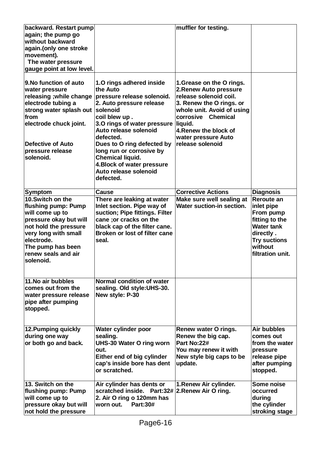| muffler for testing.<br>backward. Restart pump                                                                                                          |                     |
|---------------------------------------------------------------------------------------------------------------------------------------------------------|---------------------|
| again; the pump go                                                                                                                                      |                     |
| without backward                                                                                                                                        |                     |
| again.(only one stroke                                                                                                                                  |                     |
| movement).                                                                                                                                              |                     |
| The water pressure                                                                                                                                      |                     |
| gauge point at low level.                                                                                                                               |                     |
| 9. No function of auto                                                                                                                                  |                     |
| 1.0 rings adhered inside<br>1. Grease on the O rings.<br>the Auto<br>2. Renew Auto pressure                                                             |                     |
| water pressure<br>release solenoid coil.<br>releasing ; while change<br>pressure release solenoid.                                                      |                     |
| electrode tubing a<br>2. Auto pressure release<br>3. Renew the O rings. or                                                                              |                     |
| strong water splash out solenoid<br>whole unit. Avoid of using                                                                                          |                     |
| from<br>corrosive Chemical<br>coil blew up.                                                                                                             |                     |
| electrode chuck joint.<br>3.0 rings of water pressure<br>liquid.                                                                                        |                     |
| Auto release solenoid<br>4. Renew the block of                                                                                                          |                     |
| defected.<br>water pressure Auto                                                                                                                        |                     |
| release solenoid<br><b>Defective of Auto</b><br>Dues to O ring defected by                                                                              |                     |
| pressure release<br>long run or corrosive by                                                                                                            |                     |
| solenoid.<br><b>Chemical liquid.</b>                                                                                                                    |                     |
| 4. Block of water pressure                                                                                                                              |                     |
| Auto release solenoid                                                                                                                                   |                     |
| defected.                                                                                                                                               |                     |
|                                                                                                                                                         |                     |
| <b>Corrective Actions</b><br><b>Symptom</b><br>Cause<br>10.Switch on the                                                                                | <b>Diagnosis</b>    |
| There are leaking at water<br>Make sure well sealing at<br>Inlet section. Pipe way of<br>Water suction-in section.<br>flushing pump: Pump<br>inlet pipe | <b>Reroute an</b>   |
| will come up to<br>suction; Pipe fittings. Filter                                                                                                       | From pump           |
| cane ; or cracks on the<br>pressure okay but will                                                                                                       | fitting to the      |
| not hold the pressure<br>black cap of the filter cane.                                                                                                  | <b>Water tank</b>   |
| very long with small<br>Broken or lost of filter cane<br>directly.                                                                                      |                     |
| electrode.<br>seal.                                                                                                                                     | <b>Try suctions</b> |
| without<br>The pump has been                                                                                                                            |                     |
| renew seals and air                                                                                                                                     | filtration unit.    |
| solenoid.                                                                                                                                               |                     |
|                                                                                                                                                         |                     |
| Normal condition of water                                                                                                                               |                     |
| 11. No air bubbles<br>sealing. Old style: UHS-30.<br>comes out from the                                                                                 |                     |
| New style: P-30<br>water pressure release                                                                                                               |                     |
| pipe after pumping                                                                                                                                      |                     |
| stopped.                                                                                                                                                |                     |
|                                                                                                                                                         |                     |
|                                                                                                                                                         |                     |
| 12. Pumping quickly<br>Water cylinder poor<br>Renew water O rings.                                                                                      | Air bubbles         |
| during one way<br>Renew the big cap.<br>sealing.                                                                                                        | comes out           |
| or both go and back.<br>Part No:22#<br><b>UHS-30 Water O ring worn</b>                                                                                  | from the water      |
| You may renew it with<br>pressure<br>out.                                                                                                               |                     |
| New style big caps to be<br>Either end of big cylinder                                                                                                  | release pipe        |
| cap's inside bore has dent<br>update.                                                                                                                   | after pumping       |
| or scratched.<br>stopped.                                                                                                                               |                     |
| 13. Switch on the<br>Air cylinder has dents or<br>1. Renew Air cylinder.                                                                                | Some noise          |
| scratched inside. Part:32# 2. Renew Air O ring.<br>flushing pump: Pump<br>occurred                                                                      |                     |
| will come up to<br>2. Air O ring o 120mm has<br>during                                                                                                  |                     |
| pressure okay but will<br>worn out.<br><b>Part:30#</b>                                                                                                  | the cylinder        |
| not hold the pressure                                                                                                                                   | stroking stage      |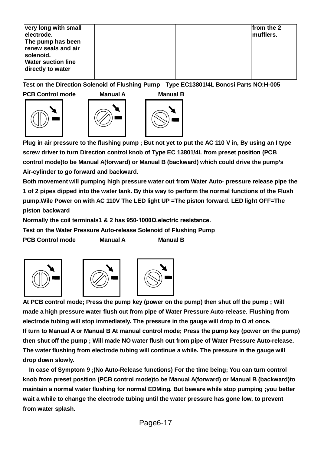| very long with small<br>electrode.                    | from the 2<br>mufflers. |
|-------------------------------------------------------|-------------------------|
| The pump has been<br>renew seals and air<br>solenoid. |                         |
| <b>Water suction line</b><br>directly to water        |                         |

**Test on the Direction Solenoid of Flushing Pump Type EC13801/4L Boncsi Parts NO:H-005**

**PCB Control mode Manual A Manual B** 









**Plug in air pressure to the flushing pump ; But not yet to put the AC 110 V in, By using an I type screw driver to turn Direction control knob of Type EC 13801/4L from preset position (PCB control mode)to be Manual A(forward) or Manual B (backward) which could drive the pump's Air-cylinder to go forward and backward.**

**Both movement will pumping high pressure water out from Water Auto- pressure release pipe the 1 of 2 pipes dipped into the water tank. By this way to perform the normal functions of the Flush pump.Wile Power on with AC 110V The LED light UP =The piston forward. LED light OFF=The piston backward**

**Normally the coil terminals1 & 2 has 950-1000Ω.electric resistance.** 

**Test on the Water Pressure Auto-release Solenoid of Flushing Pump** 

**PCB Control mode Manual A Manual B** 







**At PCB control mode; Press the pump key (power on the pump) then shut off the pump ; Will made a high pressure water flush out from pipe of Water Pressure Auto-release. Flushing from electrode tubing will stop immediately. The pressure in the gauge will drop to O at once. If turn to Manual A or Manual B At manual control mode; Press the pump key (power on the pump) then shut off the pump ; Will made NO water flush out from pipe of Water Pressure Auto-release. The water flushing from electrode tubing will continue a while. The pressure in the gauge will drop down slowly.**

 **In case of Symptom 9 ;(No Auto-Release functions) For the time being; You can turn control knob from preset position (PCB control mode)to be Manual A(forward) or Manual B (backward)to maintain a normal water flushing for normal EDMing. But beware while stop pumping ;you better wait a while to change the electrode tubing until the water pressure has gone low, to prevent from water splash.**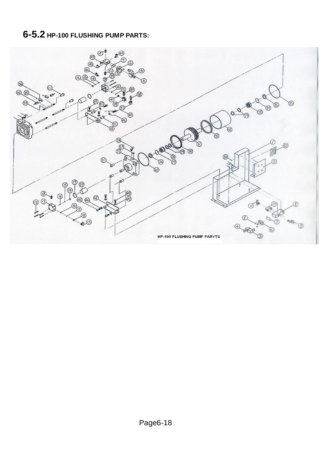# **6-5.2 HP-100 FLUSHING PUMP PARTS:**

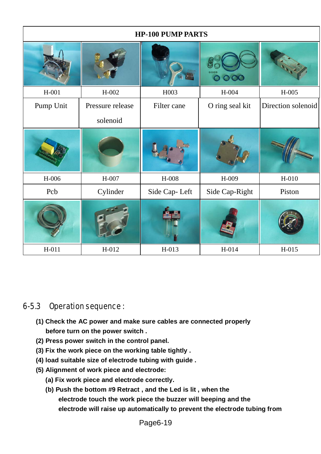| <b>HP-100 PUMP PARTS</b> |                  |               |                 |                    |  |  |
|--------------------------|------------------|---------------|-----------------|--------------------|--|--|
|                          |                  |               | 000             |                    |  |  |
| $H-001$                  | $H-002$          | H003          | H-004           | $H-005$            |  |  |
| Pump Unit                | Pressure release | Filter cane   | O ring seal kit | Direction solenoid |  |  |
|                          | solenoid         |               |                 |                    |  |  |
|                          |                  |               |                 |                    |  |  |
| H-006                    | $H-007$          | H-008         | H-009           | $H-010$            |  |  |
| Pcb                      | Cylinder         | Side Cap-Left | Side Cap-Right  | Piston             |  |  |
|                          |                  |               |                 |                    |  |  |
| $H-011$                  | H-012            | H-013         | $H-014$         | $H-015$            |  |  |

### 6-5.3 Operation sequence :

- **(1) Check the AC power and make sure cables are connected properly before turn on the power switch .**
- **(2) Press power switch in the control panel.**
- **(3) Fix the work piece on the working table tightly .**
- **(4) load suitable size of electrode tubing with guide .**
- **(5) Alignment of work piece and electrode:**
	- **(a) Fix work piece and electrode correctly.**
	- **(b) Push the bottom #9 Retract , and the Led is lit , when the electrode touch the work piece the buzzer will beeping and the electrode will raise up automatically to prevent the electrode tubing from**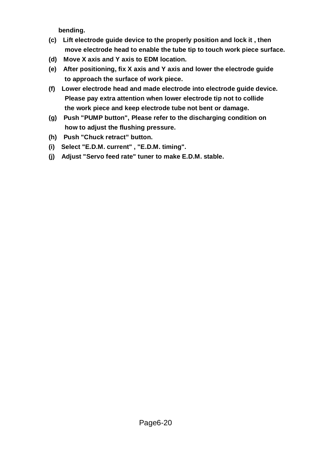**bending.**

- **(c) Lift electrode guide device to the properly position and lock it , then move electrode head to enable the tube tip to touch work piece surface.**
- **(d) Move X axis and Y axis to EDM location.**
- **(e) After positioning, fix X axis and Y axis and lower the electrode guide to approach the surface of work piece.**
- **(f) Lower electrode head and made electrode into electrode guide device. Please pay extra attention when lower electrode tip not to collide the work piece and keep electrode tube not bent or damage.**
- **(g) Push "PUMP button", Please refer to the discharging condition on how to adjust the flushing pressure.**
- **(h) Push "Chuck retract" button.**
- **(i) Select "E.D.M. current" , "E.D.M. timing".**
- **(j) Adjust "Servo feed rate" tuner to make E.D.M. stable.**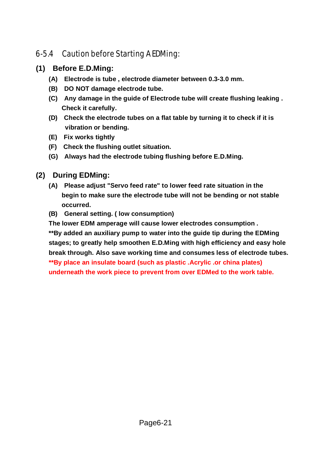# 6-5.4 Caution before Starting A EDMing:

### **(1) Before E.D.Ming:**

- **(A) Electrode is tube , electrode diameter between 0.3-3.0 mm.**
- **(B) DO NOT damage electrode tube.**
- **(C) Any damage in the guide of Electrode tube will create flushing leaking . Check it carefully.**
- **(D) Check the electrode tubes on a flat table by turning it to check if it is vibration or bending.**
- **(E) Fix works tightly**
- **(F) Check the flushing outlet situation.**
- **(G) Always had the electrode tubing flushing before E.D.Ming.**

### **(2) During EDMing:**

- **(A) Please adjust "Servo feed rate" to lower feed rate situation in the begin to make sure the electrode tube will not be bending or not stable occurred.**
- **(B) General setting. ( low consumption)**

**The lower EDM amperage will cause lower electrodes consumption . \*\*By added an auxiliary pump to water into the guide tip during the EDMing stages; to greatly help smoothen E.D.Ming with high efficiency and easy hole break through. Also save working time and consumes less of electrode tubes.**

**\*\*By place an insulate board (such as plastic .Acrylic .or china plates) underneath the work piece to prevent from over EDMed to the work table.**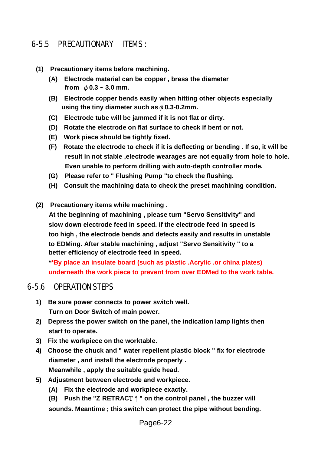### 6-5.5 PRECAUTIONARY ITEMS :

- **(1) Precautionary items before machining.**
	- **(A) Electrode material can be copper , brass the diameter from**  $\phi$  0.3 ~ 3.0 mm.
	- **(B) Electrode copper bends easily when hitting other objects especially using the tiny diameter such as**  $\phi$  **0.3-0.2mm.**
	- **(C) Electrode tube will be jammed if it is not flat or dirty.**
	- **(D) Rotate the electrode on flat surface to check if bent or not.**
	- **(E) Work piece should be tightly fixed.**
	- **(F) Rotate the electrode to check if it is deflecting or bending . If so, it will be result in not stable ,electrode wearages are not equally from hole to hole. Even unable to perform drilling with auto-depth controller mode.**
	- **(G) Please refer to " Flushing Pump "to check the flushing.**
	- **(H) Consult the machining data to check the preset machining condition.**
- **(2) Precautionary items while machining .**

 **At the beginning of machining , please turn "Servo Sensitivity" and slow down electrode feed in speed. If the electrode feed in speed is too high , the electrode bends and defects easily and results in unstable to EDMing. After stable machining , adjust "Servo Sensitivity " to a better efficiency of electrode feed in speed.**

**\*\*By place an insulate board (such as plastic .Acrylic .or china plates) underneath the work piece to prevent from over EDMed to the work table.** 

#### 6-5.6 OPERATION STEPS

- **1) Be sure power connects to power switch well. Turn on Door Switch of main power.**
- **2) Depress the power switch on the panel, the indication lamp lights then start to operate.**
- **3) Fix the workpiece on the worktable.**
- **4) Choose the chuck and " water repellent plastic block " fix for electrode diameter , and install the electrode properly . Meanwhile , apply the suitable guide head.**
- **5) Adjustment between electrode and workpiece.**
	- **(A) Fix the electrode and workpiece exactly.**
	- **(B)** Push the "Z RETRACT  $\uparrow$  " on the control panel, the buzzer will

**sounds. Meantime ; this switch can protect the pipe without bending.**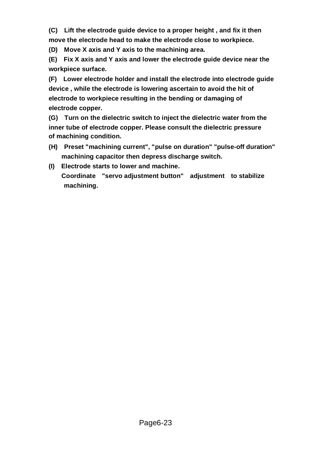**(C) Lift the electrode guide device to a proper height , and fix it then move the electrode head to make the electrode close to workpiece.**

 **(D) Move X axis and Y axis to the machining area.**

 **(E) Fix X axis and Y axis and lower the electrode guide device near the workpiece surface.**

 **(F) Lower electrode holder and install the electrode into electrode guide device , while the electrode is lowering ascertain to avoid the hit of electrode to workpiece resulting in the bending or damaging of electrode copper.**

 **(G) Turn on the dielectric switch to inject the dielectric water from the inner tube of electrode copper. Please consult the dielectric pressure of machining condition.**

- **(H) Preset "machining current", "pulse on duration" "pulse-off duration" machining capacitor then depress discharge switch.**
- **(I) Electrode starts to lower and machine. Coordinate "servo adjustment button" adjustment to stabilize machining.**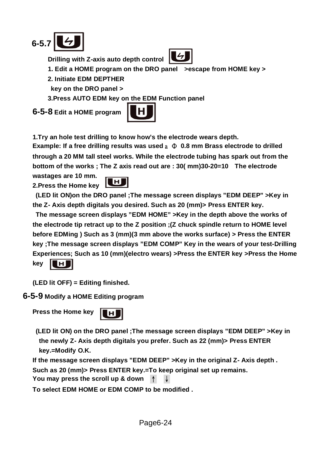



**Drilling with Z-axis auto depth control**

**1. Edit a HOME program on the DRO panel >escape from HOME key >**

**2. Initiate EDM DEPTHER** 

**key on the DRO panel >**

**3.Press AUTO EDM key on the EDM Function panel**

**6-5-8 Edit a HOME program**



**1.Try an hole test drilling to know how's the electrode wears depth. Example: If a free drilling results was used** a Ȝ **0.8 mm Brass electrode to drilled through a 20 MM tall steel works. While the electrode tubing has spark out from the bottom of the works ; The Z axis read out are : 30( mm)30-20=10 The electrode** 

**wastages are 10 mm. 2.Press the Home key**



**(LED lit ON)on the DRO panel ;The message screen displays "EDM DEEP" >Key in the Z- Axis depth digitals you desired. Such as 20 (mm)> Press ENTER key.**

**The message screen displays "EDM HOME" >Key in the depth above the works of the electrode tip retract up to the Z position ;(Z chuck spindle return to HOME level before EDMing ) Such as 3 (mm)(3 mm above the works surface) > Press the ENTER key ;The message screen displays "EDM COMP" Key in the wears of your test-Drilling Experiences; Such as 10 (mm)(electro wears) >Press the ENTER key >Press the Home** 

**key**  Ш

**(LED lit OFF) = Editing finished.**

**6-5-9 Modify a HOME Editing program**

**Press the Home key**



**(LED lit ON) on the DRO panel ;The message screen displays "EDM DEEP" >Key in the newly Z- Axis depth digitals you prefer. Such as 22 (mm)> Press ENTER key.=Modify O.K.** 

**If the message screen displays "EDM DEEP" >Key in the original Z- Axis depth .** 

**Such as 20 (mm)> Press ENTER key.=To keep original set up remains.** 

**You may press the scroll up & down** 

**To select EDM HOME or EDM COMP to be modified .**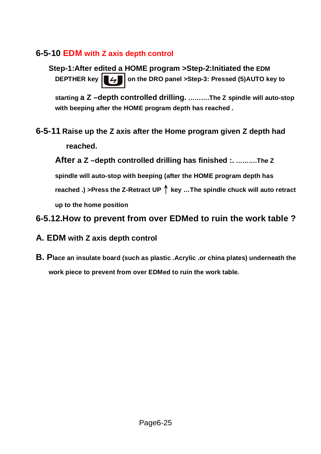# **6-5-10 EDM with Z axis depth control**

**Step-1:After edited a HOME program >Step-2:Initiated the EDM DEPTHER key**  $\bullet$  **4 on the DRO panel >Step-3: Pressed (5)AUTO key to** 

**starting a Z –depth controlled drilling. ……….The Z spindle will auto-stop with beeping after the HOME program depth has reached .** 

**6-5-11 Raise up the Z axis after the Home program given Z depth had reached.**

**After a Z –depth controlled drilling has finished :. ……….The Z spindle will auto-stop with beeping (after the HOME program depth has reached .) >Press the Z-Retract UP ↑ key ...The spindle chuck will auto retract up to the home position** 

# **6-5.12.How to prevent from over EDMed to ruin the work table ?**

- **A. EDM with Z axis depth control**
- **B. Place an insulate board (such as plastic .Acrylic .or china plates) underneath the work piece to prevent from over EDMed to ruin the work table.**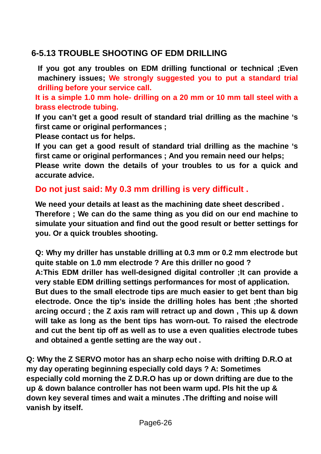# **6-5.13 TROUBLE SHOOTING OF EDM DRILLING**

**If you got any troubles on EDM drilling functional or technical ;Even machinery issues; We strongly suggested you to put a standard trial drilling before your service call.**

**It is a simple 1.0 mm hole- drilling on a 20 mm or 10 mm tall steel with a brass electrode tubing.**

**If you can't get a good result of standard trial drilling as the machine 's first came or original performances ;**

**Please contact us for helps.**

**If you can get a good result of standard trial drilling as the machine 's first came or original performances ; And you remain need our helps; Please write down the details of your troubles to us for a quick and** 

**accurate advice.** 

# **Do not just said: My 0.3 mm drilling is very difficult .**

**We need your details at least as the machining date sheet described . Therefore ; We can do the same thing as you did on our end machine to simulate your situation and find out the good result or better settings for you. Or a quick troubles shooting.**

**Q: Why my driller has unstable drilling at 0.3 mm or 0.2 mm electrode but quite stable on 1.0 mm electrode ? Are this driller no good ? A:This EDM driller has well-designed digital controller ;It can provide a very stable EDM drilling settings performances for most of application. But dues to the small electrode tips are much easier to get bent than big electrode. Once the tip's inside the drilling holes has bent ;the shorted arcing occurd ; the Z axis ram will retract up and down , This up & down will take as long as the bent tips has worn-out. To raised the electrode and cut the bent tip off as well as to use a even qualities electrode tubes and obtained a gentle setting are the way out .**

**Q: Why the Z SERVO motor has an sharp echo noise with drifting D.R.O at my day operating beginning especially cold days ? A: Sometimes especially cold morning the Z D.R.O has up or down drifting are due to the up & down balance controller has not been warm upd. Pls hit the up & down key several times and wait a minutes .The drifting and noise will vanish by itself.**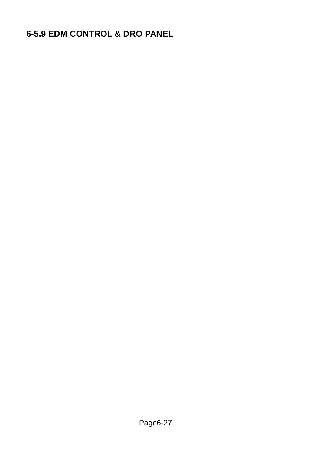# **6-5.9 EDM CONTROL & DRO PANEL**